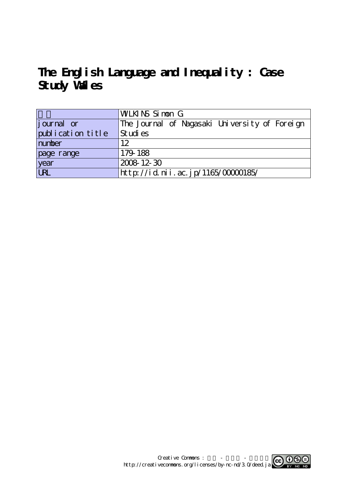## **The English Language and Inequality : Case Study Wales**

|                    | WLKINS Simon G                                |
|--------------------|-----------------------------------------------|
| <i>j</i> ournal or | The Journal of Nagasaki University of Foreign |
| publication title  | Studies                                       |
| number             | 12                                            |
| page range         | 179-188                                       |
| year<br>URL        | 2008 12 30                                    |
|                    | http://id.nii.ac.jp/1165/00000185/            |

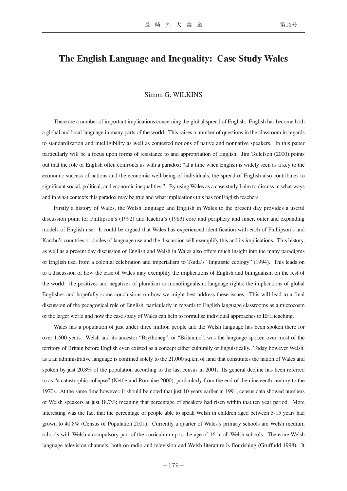## **The English Language and Inequality: Case Study Wales**

## Simon G. WILKINS

There are a number of important implications concerning the global spread of English. English has become both a global and local language in many parts of the world. This raises a number of questions in the classroom in regards to standardization and intelligibility as well as contested notions of native and nonnative speakers. In this paper particularly will be a focus upon forms of resistance to and appropriation of English. Jim Tollefson (2000) points out that the role of English often confronts us with a paradox: "at a time when English is widely seen as a key to the economic success of nations and the economic well-being of individuals, the spread of English also contributes to significant social, political, and economic inequalities." By using Wales as a case study I aim to discuss in what ways and in what contexts this paradox may be true and what implications this has for English teachers.

Firstly a history of Wales, the Welsh language and English in Wales to the present day provides a useful discussion point for Phillipson's (1992) and Kachru's (1983) core and periphery and inner, outer and expanding models of English use. It could be argued that Wales has experienced identification with each of Phillipson's and Karchu's countries or circles of language use and the discussion will exemplify this and its implications. This history, as well as a present day discussion of English and Welsh in Wales also offers much insight into the many paradigms of English use, from a colonial celebration and imperialism to Tsuda's "linguistic ecology" (1994). This leads on to a discussion of how the case of Wales may exemplify the implications of English and bilingualism on the rest of the world: the positives and negatives of pluralism or monolingualism; language rights; the implications of global Englishes and hopefully some conclusions on how we might best address these issues. This will lead to a final discussion of the pedagogical role of English, particularly in regards to English language classrooms as a microcosm of the larger world and how the case study of Wales can help to formulise individual approaches to EFL teaching.

Wales has a population of just under three million people and the Welsh language has been spoken there for over 1,600 years. Welsh and its ancestor "Brythoneg", or "Britannic", was the language spoken over most of the territory of Britain before English even existed as a concept either culturally or linguistically. Today however Welsh, as a an administrative language is confined solely to the 21,000 sq.km of land that constitutes the nation of Wales and spoken by just 20.8% of the population according to the last census in 2001. Its general decline has been referred to as "a catastrophic collapse" (Nettle and Romaine 2000), particularly from the end of the nineteenth century to the 1970s. At the same time however, it should be noted that just 10 years earlier in 1991, census data showed numbers of Welsh speakers at just 18.7%; meaning that percentage of speakers had risen within that ten year period. More interesting was the fact that the percentage of people able to speak Welsh in children aged between 5-15 years had grown to 40.8% (Census of Population 2001). Currently a quarter of Wales's primary schools are Welsh medium schools with Welsh a compulsory part of the curriculum up to the age of 16 in all Welsh schools. There are Welsh language television channels, both on radio and television and Welsh literature is flourishing (Gruffudd 1998). It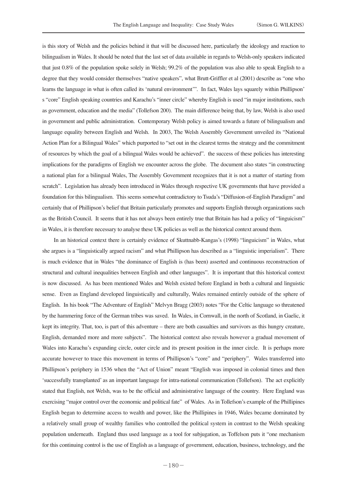is this story of Welsh and the policies behind it that will be discussed here, particularly the ideology and reaction to bilingualism in Wales. It should be noted that the last set of data available in regards to Welsh-only speakers indicated that just 0.8% of the population spoke solely in Welsh; 99.2% of the population was also able to speak English to a degree that they would consider themselves "native speakers", what Brutt-Griffler et al (2001) describe as "one who learns the language in what is often called its 'natural environment'". In fact, Wales lays squarely within Phillipson' s "core" English speaking countries and Karachu's "inner circle" whereby English is used "in major institutions, such as government, education and the media" (Tollefson 200). The main difference being that, by law, Welsh is also used in government and public administration. Contemporary Welsh policy is aimed towards a future of bilingualism and language equality between English and Welsh. In 2003, The Welsh Assembly Government unveiled its "National Action Plan for a Bilingual Wales" which purported to "set out in the clearest terms the strategy and the commitment of resources by which the goal of a bilingual Wales would be achieved". the success of these policies has interesting implications for the paradigms of English we encounter across the globe. The document also states "in constructing a national plan for a bilingual Wales, The Assembly Government recognizes that it is not a matter of starting from scratch". Legislation has already been introduced in Wales through respective UK governments that have provided a foundation for this bilingualism. This seems somewhat contradictory to Tsuda's "Diffusion-of-English Paradigm" and certainly that of Phillipson's belief that Britain particularly promotes and supports English through organizations such as the British Council. It seems that it has not always been entirely true that Britain has had a policy of "linguicism" in Wales, it is therefore necessary to analyse these UK policies as well as the historical context around them.

In an historical context there is certainly evidence of Skuttnabb-Kangas's (1998) "linguicism" in Wales, what she argues is a "linguistically argued racism" and what Phillipson has described as a "linguistic imperialism". There is much evidence that in Wales "the dominance of English is (has been) asserted and continuous reconstruction of structural and cultural inequalities between English and other languages". It is important that this historical context is now discussed. As has been mentioned Wales and Welsh existed before England in both a cultural and linguistic sense. Even as England developed linguistically and culturally, Wales remained entirely outside of the sphere of English. In his book "The Adventure of English" Melvyn Bragg (2003) notes "For the Celtic language so threatened by the hammering force of the German tribes was saved. In Wales, in Cornwall, in the north of Scotland, in Gaelic, it kept its integrity. That, too, is part of this adventure – there are both casualties and survivors as this hungry creature, English, demanded more and more subjects". The historical context also reveals however a gradual movement of Wales into Karachu's expanding circle, outer circle and its present position in the inner circle. It is perhaps more accurate however to trace this movement in terms of Phillipson's "core" and "periphery". Wales transferred into Phillipson's periphery in 1536 when the "Act of Union" meant "English was imposed in colonial times and then 'successfully transplanted' as an important language for intra-national communication (Tollefson). The act explicitly stated that English, not Welsh, was to be the official and administrative language of the country. Here England was exercising "major control over the economic and political fate" of Wales. As in Tollefson's example of the Phillipines English began to determine access to wealth and power, like the Phillipines in 1946, Wales became dominated by a relatively small group of wealthy families who controlled the political system in contrast to the Welsh speaking population underneath. England thus used language as a tool for subjugation, as Toffelson puts it "one mechanism for this continuing control is the use of English as a language of government, education, business, technology, and the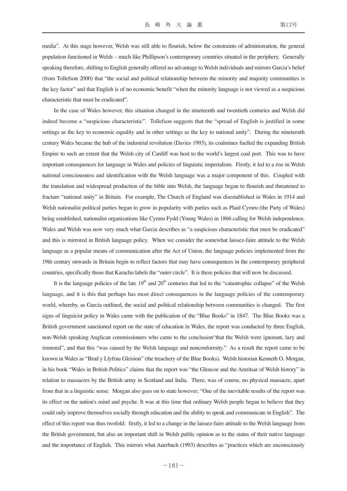media". At this stage however, Welsh was still able to flourish, below the constraints of administration, the general population functioned in Welsh – much like Phillipson's contemporary countries situated in the periphery. Generally speaking therefore, shifting to English generally offered no advantage to Welsh individuals and mirrors Garcia's belief (from Tollefson 2000) that "the social and political relationship between the minority and majority communities is the key factor" and that English is of no economic benefit "when the minority language is not viewed as a suspicious characteristic that must be eradicated".

In the case of Wales however, this situation changed in the nineteenth and twentieth centuries and Welsh did indeed become a "suspicious characteristic". Tollefson suggests that the "spread of English is justified in some settings as the key to economic equality and in other settings as the key to national unity". During the nineteenth century Wales became the hub of the industrial revolution (Davies 1993), its coalmines fuelled the expanding British Empire to such an extent that the Welsh city of Cardiff was host to the world's largest coal port. This was to have important consequences for language in Wales and policies of linguistic imperialism. Firstly, it led to a rise in Welsh national consciousness and identification with the Welsh language was a major component of this. Coupled with the translation and widespread production of the bible into Welsh, the language began to flourish and threatened to fracture "national unity" in Britain. For example, The Church of England was disestablished in Wales in 1914 and Welsh nationalist political parties began to grow in popularity with parties such as Plaid Cymru (the Party of Wales) being established, nationalist organizations like Cymru Fydd (Young Wales) in 1866 calling for Welsh independence. Wales and Welsh was now very much what Garcia describes as "a suspicious characteristic that must be eradicated" and this is mirrored in British language policy. When we consider the somewhat laissez-faire attitude to the Welsh language as a popular means of communication after the Act of Union, the language policies implemented from the 19th century onwards in Britain begin to reflect factors that may have consequences in the contemporary peripheral countries, specifically those that Karachu labels the "outer circle". It is these policies that will now be discussed.

It is the language policies of the late  $19<sup>th</sup>$  and  $20<sup>th</sup>$  centuries that led to the "catastrophic collapse" of the Welsh language, and it is this that perhaps has most direct consequences in the language policies of the contemporary world, whereby, as Garcia outlined, the social and political relationship between communities is changed. The first signs of linguicist policy in Wales came with the publication of the "Blue Books" in 1847. The Blue Books was a British government sanctioned report on the state of education in Wales, the report was conducted by three English, non-Welsh speaking Anglican commissioners who came to the conclusion"that the Welsh were ignorant, lazy and immoral", and that this "was caused by the Welsh language and nonconformity." As a result the report came to be known in Wales as "Brad y Llyfrau Gleision" (the treachery of the Blue Books). Welsh historian Kenneth O. Morgan, in his book "Wales in British Politics" claims that the report was "the Glencoe and the Amritsar of Welsh history" in relation to massacres by the British army in Scotland and India. There, was of course, no physical massacre, apart from that in a linguistic sense. Morgan also goes on to state however; "One of the inevitable results of the report was its effect on the nation's mind and psyche. It was at this time that ordinary Welsh people began to believe that they could only improve themselves socially through education and the ability to speak and communicate in English". The effect of this report was thus twofold: firstly, it led to a change in the laissez-faire attitude to the Welsh language from the British government, but also an important shift in Welsh public opinion as to the status of their native language and the importance of English. This mirrors what Auerbach (1993) describes as "practices which are unconsciously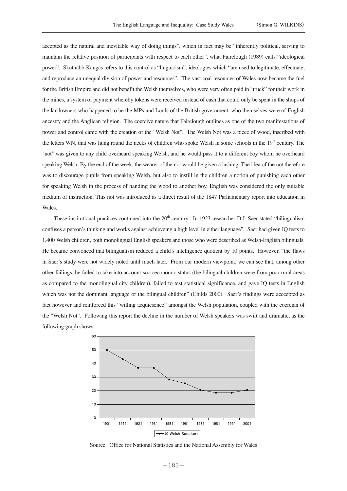accepted as the natural and inevitable way of doing things", which in fact may be "inherently political, serving to maintain the relative position of participants with respect to each other", what Fairclough (1989) calls "ideological power". Skutnabb-Kangas refers to this control as "linguicism", ideologies which "are used to legitimate, effectuate, and reproduce an unequal division of power and resources". The vast coal resources of Wales now became the fuel for the British Empire and did not benefit the Welsh themselves, who were very often paid in "truck" for their work in the mines, a system of payment whereby tokens were received instead of cash that could only be spent in the shops of the landowners who happened to be the MPs and Lords of the British government, who themselves were of English ancestry and the Anglican religion. The coercive nature that Fairclough outlines as one of the two manifestations of power and control came with the creation of the "Welsh Not". The Welsh Not was a piece of wood, inscribed with the letters WN, that was hung round the necks of children who spoke Welsh in some schools in the 19<sup>th</sup> century. The "not" was given to any child overheard speaking Welsh, and he would pass it to a different boy whom he overheard speaking Welsh. By the end of the week, the wearer of the not would be given a lashing. The idea of the not therefore was to discourage pupils from speaking Welsh, but also to instill in the children a notion of punishing each other for speaking Welsh in the process of handing the wood to another boy. English was considered the only suitable medium of instruction. This not was introduced as a direct result of the 1847 Parliamentary report into education in Wales.

These institutional pracitces continued into the  $20<sup>th</sup>$  century. In 1923 researcher D.J. Saer stated "bilingualism" confuses a person's thinking and works against achieveing a high level in either language". Saer had given IQ tests to 1,400 Welsh children, both monolingual English speakers and those who were described as Welsh-English bilinguals. He became convonced that bilingualism reduced a child's intelligence quotient by 10 points. However, "the flaws in Saer's study were not widely noted until much later. From our modern viewpoint, we can see that, among other other failings, he failed to take into account socioeconomic status (the bilingual children were from poor rural areas as compared to the monolingual city children), failed to test statistical significance, and gave IQ tests in English which was not the dominant language of the bilingual children" (Childs 2000). Saer's findings were acccepted as fact however and reinforced this "willing acquiesence" amongst the Welsh population, coupled with the coercian of the "Welsh Not". Following this report the decline in the number of Welsh speakers was swift and dramatic, as the following graph shows:



Source: Office for National Statistics and the National Assembly for Wales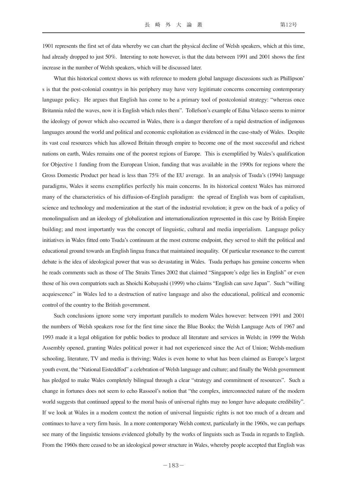1901 represents the first set of data whereby we can chart the physical decline of Welsh speakers, which at this time, had already dropped to just 50%. Intersting to note however, is that the data between 1991 and 2001 shows the first increase in the number of Welsh speakers, which will be discussed later.

What this historical context shows us with reference to modern global language discussions such as Phillipson' s is that the post-colonial countrys in his periphery may have very legitimate concerns concerning contemporary language policy. He argues that English has come to be a primary tool of postcolonial strategy: "whereas once Britannia ruled the waves, now it is English which rules them". Tollefson's example of Edna Velasco seems to mirror the ideology of power which also occurred in Wales, there is a danger therefore of a rapid destruction of indigenous languages around the world and political and economic exploitation as evidenced in the case-study of Wales. Despite its vast coal resources which has allowed Britain through empire to become one of the most successful and richest nations on earth, Wales remains one of the poorest regions of Europe. This is exemplified by Wales's qualification for Objective 1 funding from the European Union, funding that was available in the 1990s for regions where the Gross Domestic Product per head is less than 75% of the EU average. In an analysis of Tsuda's (1994) language paradigms, Wales it seems exemplifies perfectly his main concerns. In its historical context Wales has mirrored many of the characteristics of his diffusion-of-English paradigm: the spread of English was born of capitalism, science and technology and modernization at the start of the industrial revolution; it grew on the back of a policy of monolingualism and an ideology of globalization and internationalization represented in this case by British Empire building; and most importantly was the concept of linguistic, cultural and media imperialism. Language policy initiatives in Wales fitted onto Tsuda's continuum at the most extreme endpoint, they served to shift the political and educational ground towards an English lingua franca that maintained inequality. Of particular resonance to the current debate is the idea of ideological power that was so devastating in Wales. Tsuda perhaps has genuine concerns when he reads comments such as those of The Straits Times 2002 that claimed "Singapore's edge lies in English" or even those of his own compatriots such as Shoichi Kobayashi (1999) who claims "English can save Japan". Such "willing acquiescence" in Wales led to a destruction of native language and also the educational, political and economic control of the country to the British government.

Such conclusions ignore some very important parallels to modern Wales however: between 1991 and 2001 the numbers of Welsh speakers rose for the first time since the Blue Books; the Welsh Language Acts of 1967 and 1993 made it a legal obligation for public bodies to produce all literature and services in Welsh; in 1999 the Welsh Assembly opened, granting Wales political power it had not experienced since the Act of Union; Welsh-medium schooling, literature, TV and media is thriving; Wales is even home to what has been claimed as Europe's largest youth event, the "National Eisteddfod" a celebration of Welsh language and culture; and finally the Welsh government has pledged to make Wales completely bilingual through a clear "strategy and commitment of resources". Such a change in fortunes does not seem to echo Rassool's notion that "the complex, interconnected nature of the modern world suggests that continued appeal to the moral basis of universal rights may no longer have adequate credibility". If we look at Wales in a modern context the notion of universal linguistic rights is not too much of a dream and continues to have a very firm basis. In a more contemporary Welsh context, particularly in the 1960s, we can perhaps see many of the linguistic tensions evidenced globally by the works of linguists such as Tsuda in regards to English. From the 1960s there ceased to be an ideological power structure in Wales, whereby people accepted that English was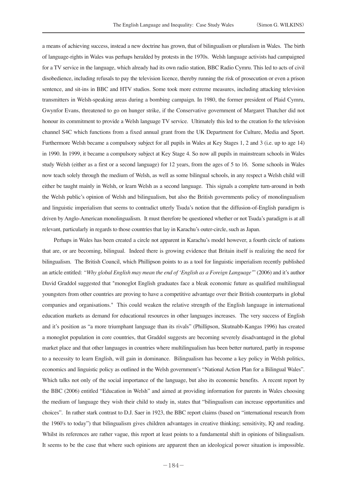a means of achieving success, instead a new doctrine has grown, that of bilingualism or pluralism in Wales. The birth of language-rights in Wales was perhaps heralded by protests in the 1970s. Welsh language activists had campaigned for a TV service in the language, which already had its own radio station, BBC Radio Cymru. This led to acts of civil disobedience, including refusals to pay the television licence, thereby running the risk of prosecution or even a prison sentence, and sit-ins in BBC and HTV studios. Some took more extreme measures, including attacking television transmitters in Welsh-speaking areas during a bombing campaign. In 1980, the former president of Plaid Cymru, Gwynfor Evans, threatened to go on hunger strike, if the Conservative government of Margaret Thatcher did not honour its commitment to provide a Welsh language TV service. Ultimately this led to the creation fo the television channel S4C which functions from a fixed annual grant from the UK Department for Culture, Media and Sport. Furthermore Welsh became a compulsory subject for all pupils in Wales at Key Stages 1, 2 and 3 (i.e. up to age 14) in 1990. In 1999, it became a compulsory subject at Key Stage 4. So now all pupils in mainstream schools in Wales study Welsh (either as a first or a second language) for 12 years, from the ages of 5 to 16. Some schools in Wales now teach solely through the medium of Welsh, as well as some bilingual schools, in any respect a Welsh child will either be taught mainly in Welsh, or learn Welsh as a second language. This signals a complete turn-around in both the Welsh public's opinion of Welsh and bilingualism, but also the British governments policy of monolingualism and linguistic imperialism that seems to contradict utterly Tsuda's notion that the diffusion-of-English paradigm is driven by Anglo-American monolingualism. It must therefore be questioned whether or not Tsuda's paradigm is at all relevant, particularly in regards to those countries that lay in Karachu's outer-circle, such as Japan.

Perhaps in Wales has been created a circle not apparent in Karachu's model however, a fourth circle of nations that are, or are becoming, bilingual. Indeed there is growing evidence that Britain itself is realizing the need for bilingualism. The British Council, which Phillipson points to as a tool for linguistic imperialism recently published an article entitled: *"Why global English may mean the end of 'English as a Foreign Language'*" (2006) and it's author David Graddol suggested that "monoglot English graduates face a bleak economic future as qualified multilingual youngsters from other countries are proving to have a competitive advantage over their British counterparts in global companies and organisations." This could weaken the relative strength of the English language in international education markets as demand for educational resources in other languages increases. The very success of English and it's position as "a more triumphant language than its rivals" (Phillipson, Skutnabb-Kangas 1996) has created a monoglot population in core countries, that Graddol suggests are becoming severely disadvantaged in the global market place and that other languages in countries where multilingualism has been better nurtured, partly in response to a necessity to learn English, will gain in dominance. Bilingualism has become a key policy in Welsh politics, economics and linguistic policy as outlined in the Welsh government's "National Action Plan for a Bilingual Wales". Which talks not only of the social importance of the language, but also its economic benefits. A recent report by the BBC (2006) entitled "Education in Welsh" and aimed at providing information for parents in Wales choosing the medium of language they wish their child to study in, states that "bilingualism can increase opportunities and choices". In rather stark contrast to D.J. Saer in 1923, the BBC report claims (based on "international research from the 1960's to today") that bilingualism gives children advantages in creative thinking; sensitivity, IQ and reading. Whilst its references are rather vague, this report at least points to a fundamental shift in opinions of bilingualism. It seems to be the case that where such opinions are apparent then an ideological power situation is impossible.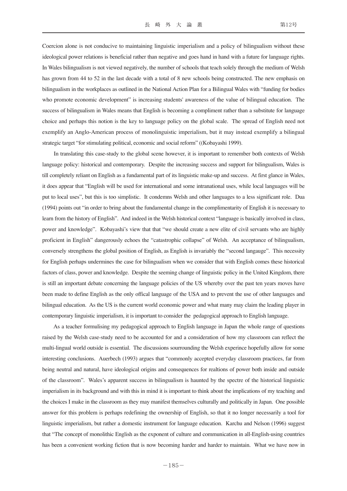Coercion alone is not conducive to maintaining linguistic imperialism and a policy of bilingualism without these ideological power relations is beneficial rather than negative and goes hand in hand with a future for language rights. In Wales bilingualism is not viewed negatively, the number of schools that teach solely through the medium of Welsh has grown from 44 to 52 in the last decade with a total of 8 new schools being constructed. The new emphasis on bilingualism in the workplaces as outlined in the National Action Plan for a Bilingual Wales with "funding for bodies who promote economic development" is increasing students' awareness of the value of bilingual education. The success of bilingualism in Wales means that English is becoming a compliment rather than a substitute for language choice and perhaps this notion is the key to language policy on the global scale. The spread of English need not exemplify an Anglo-American process of monolinguistic imperialism, but it may instead exemplify a bilingual strategic target "for stimulating political, economic and social reform" ((Kobayashi 1999).

In translating this case-study to the global scene however, it is important to remember both contexts of Welsh language policy: historical and contemporary. Despite the increasing success and support for bilingualism, Wales is till completely reliant on English as a fundamental part of its linguistic make-up and success. At first glance in Wales, it does appear that "English will be used for international and some intranational uses, while local languages will be put to local uses", but this is too simplistic. It condemns Welsh and other languages to a less significant role. Dua (1994) points out "in order to bring about the fundamental change in the complimentarity of English it is necessary to learn from the history of English". And indeed in the Welsh historical context "language is basically involved in class, power and knowledge". Kobayashi's view that that "we should create a new elite of civil servants who are highly proficient in English" dangerously echoes the "catastrophic collapse" of Welsh. An acceptance of bilingualism, conversely strengthens the global position of English, as English is invariably the "second langauge". This necessity for English perhaps undermines the case for bilingualism when we consider that with English comes these historical factors of class, power and knowledge. Despite the seeming change of linguistic policy in the United Kingdom, there is still an important debate concerning the language policies of the US whereby over the past ten years moves have been made to define English as the only offical language of the USA and to prevent the use of other languages and bilingual education. As the US is the current world economic power and what many may claim the leading player in contemporary linguistic imperialism, it is important to consider the pedagogical approach to English language.

As a teacher formulising my pedagogical approach to English language in Japan the whole range of questions raised by the Welsh case-study need to be accounted for and a consideration of how my classroom can reflect the multi-lingual world outside is essential. The discussions sourrounding the Welsh experince hopefully allow for some interesting conclusions. Auerbech (1993) argues that "commonly accepted everyday classroom practices, far from being neutral and natural, have ideological origins and consequences for realtions of power both inside and outside of the classroom". Wales's apparent success in bilingualism is haunted by the spectre of the historical linguistic imperialism in its background and with this in mind it is important to think about the implications of my teaching and the choices I make in the classroom as they may manifest themselves culturally and politically in Japan. One possible answer for this problem is perhaps redefining the ownership of English, so that it no longer necessarily a tool for linguistic imperialism, but rather a domestic instrument for language education. Karchu and Nelson (1996) suggest that "The concept of monolithic English as the exponent of culture and communication in all-English-using countries has been a convenient working fiction that is now becoming harder and harder to maintain. What we have now in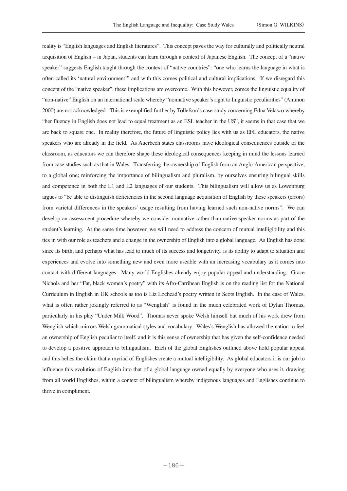reality is "English languages and English literatures". This concept paves the way for culturally and politically neutral acquisition of English – in Japan, students can learn through a context of Japanese English. The concept of a "native speaker" suggests English taught through the context of "native countries": "one who learns the language in what is often called its 'natural environment'" and with this comes political and cultural implications. If we disregard this concept of the "native speaker", these implications are overcome. With this however, comes the linguistic equality of "non-native" English on an international scale whereby "nonnative speaker's right to linguistic peculiarities" (Ammon 2000) are not acknowledged. This is exemplified further by Tollefson's case-study concerning Edna Velasco whereby "her fluency in English does not lead to equal treatment as an ESL teacher in the US", it seems in that case that we are back to square one. In reality therefore, the future of linguistic policy lies with us as EFL educators, the native speakers who are already in the field. As Auerbech states classrooms have ideological consequences outside of the classroom, as educators we can therefore shape these ideological consequences keeping in mind the lessons learned from case studies such as that in Wales. Transferring the ownership of English from an Anglo-American perspective, to a global one; reinforcing the importance of bilingualism and pluralism, by ourselves ensuring bilingual skills and competence in both the L1 and L2 languages of our students. This bilingualism will allow us as Lowenburg argues to "be able to distinguish deficiencies in the second language acquisition of English by these speakers (errors) from varietal differences in the speakers' usage resulting from having learned such non-native norms". We can develop an assessment procedure whereby we consider nonnative rather than native speaker norms as part of the student's learning. At the same time however, we will need to address the concern of mutual intelligibility and this ties in with our role as teachers and a change in the ownership of English into a global language. As English has done since its birth, and perhaps what has lead to much of its success and longetivity, is its ability to adapt to situation and experiences and evolve into something new and even more useable with an increasing vocabulary as it comes into contact with different languages. Many world Englishes already enjoy popular appeal and understanding: Grace Nichols and her "Fat, black women's poetry" with its Afro-Carribean English is on the reading list for the National Curriculum in English in UK schools as too is Liz Lochead's poetry written in Scots English. In the case of Wales, what is often rather jokingly referred to as "Wenglish" is found in the much celebrated work of Dylan Thomas, particularly in his play "Under Milk Wood". Thomas never spoke Welsh himself but much of his work drew from Wenglish which mirrors Welsh grammatical styles and vocabulary. Wales's Wenglish has allowed the nation to feel an ownership of English peculiar to itself, and it is this sense of ownership that has given the self-confidence needed to develop a positive approach to bilingualism. Each of the global Englishes outlined above hold popular appeal and this belies the claim that a myriad of Englishes create a mutual intelligibility. As global educators it is our job to influence this evolution of English into that of a global language owned equally by everyone who uses it, drawing from all world Englishes, within a context of bilingualism whereby indigenous languages and Englishes continue to thrive in compliment.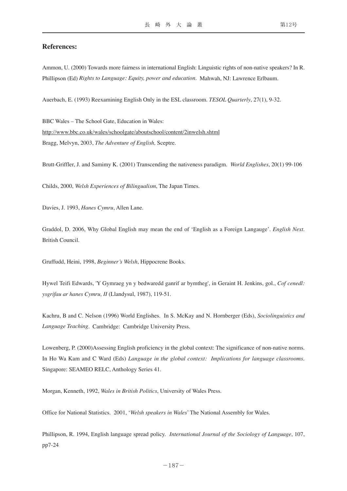## **References:**

Ammon, U. (2000) Towards more fairness in international English: Linguistic rights of non-native speakers? In R. Phillipson (Ed) *Rights to Language: Equity, power and education.* Mahwah, NJ: Lawrence Erlbaum.

Auerbach, E. (1993) Reexamining English Only in the ESL classroom. *TESOL Quarterly*, 27(1), 9-32.

BBC Wales – The School Gate, Education in Wales: http://www.bbc.co.uk/wales/schoolgate/aboutschool/content/2inwelsh.shtml Bragg, Melvyn, 2003, *The Adventure of English,* Sceptre.

Brutt-Griffler, J. and Samimy K. (2001) Transcending the nativeness paradigm. *World Englishes*, 20(1) 99-106

Childs, 2000, *Welsh Experiences of Bilingualism*, The Japan Times.

Davies, J. 1993, *Hanes Cymru*, Allen Lane.

Graddol, D. 2006, Why Global English may mean the end of 'English as a Foreign Langauge'. *English Next*. British Council.

Gruffudd, Heini, 1998, *Beginner's Welsh*, Hippocrene Books.

Hywel Teifi Edwards, 'Y Gymraeg yn y bedwaredd ganrif ar bymtheg', in Geraint H. Jenkins, gol., *Cof cenedl: ysgrifau ar hanes Cymru, II* (Llandysul, 1987), 119-51.

Kachru, B and C. Nelson (1996) World Englishes. In S. McKay and N. Hornberger (Eds), *Sociolinguistics and Language Teaching*. Cambridge: Cambridge University Press.

Lowenberg, P. (2000)Assessing English proficiency in the global context: The significance of non-native norms. In Ho Wa Kam and C Ward (Eds) *Language in the global context: Implications for language classrooms*. Singapore: SEAMEO RELC, Anthology Series 41.

Morgan, Kenneth, 1992, *Wales in British Politics*, University of Wales Press.

Office for National Statistics. 2001, '*Welsh speakers in Wales*' The National Assembly for Wales.

Phillipson, R. 1994, English language spread policy. *International Journal of the Sociology of Language*, 107, pp7-24